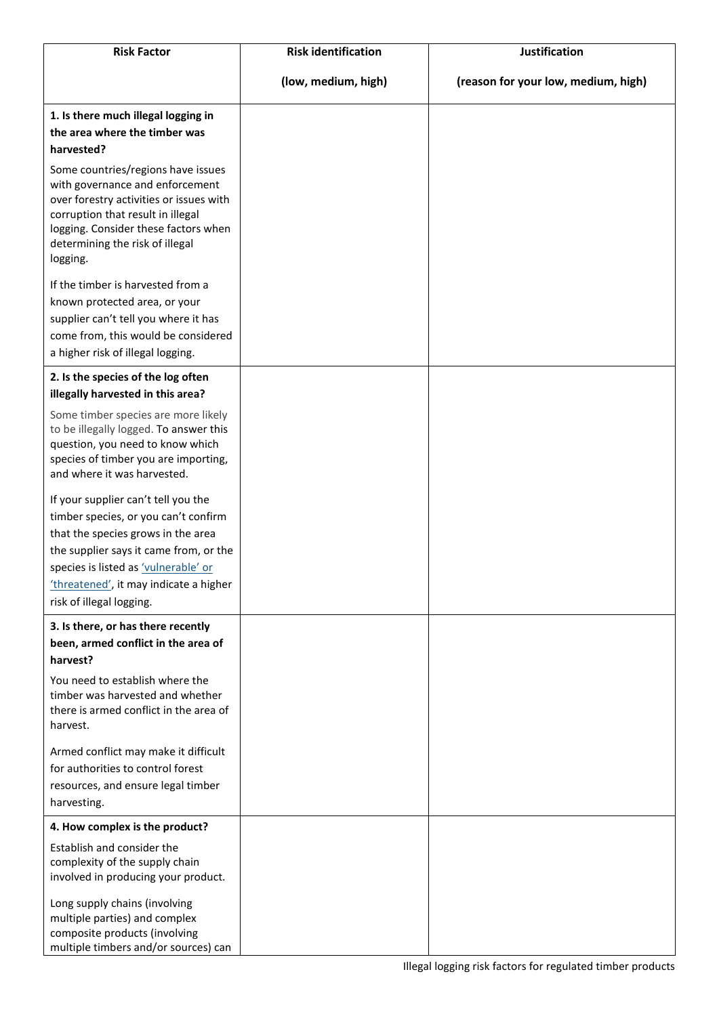| <b>Risk Factor</b>                                                                                                                                                                                                                           | <b>Risk identification</b> | <b>Justification</b>                |
|----------------------------------------------------------------------------------------------------------------------------------------------------------------------------------------------------------------------------------------------|----------------------------|-------------------------------------|
|                                                                                                                                                                                                                                              | (low, medium, high)        | (reason for your low, medium, high) |
| 1. Is there much illegal logging in                                                                                                                                                                                                          |                            |                                     |
| the area where the timber was                                                                                                                                                                                                                |                            |                                     |
| harvested?                                                                                                                                                                                                                                   |                            |                                     |
| Some countries/regions have issues<br>with governance and enforcement<br>over forestry activities or issues with<br>corruption that result in illegal<br>logging. Consider these factors when<br>determining the risk of illegal<br>logging. |                            |                                     |
| If the timber is harvested from a                                                                                                                                                                                                            |                            |                                     |
| known protected area, or your<br>supplier can't tell you where it has<br>come from, this would be considered<br>a higher risk of illegal logging.                                                                                            |                            |                                     |
| 2. Is the species of the log often<br>illegally harvested in this area?                                                                                                                                                                      |                            |                                     |
| Some timber species are more likely<br>to be illegally logged. To answer this<br>question, you need to know which<br>species of timber you are importing,<br>and where it was harvested.                                                     |                            |                                     |
| If your supplier can't tell you the                                                                                                                                                                                                          |                            |                                     |
| timber species, or you can't confirm                                                                                                                                                                                                         |                            |                                     |
| that the species grows in the area                                                                                                                                                                                                           |                            |                                     |
| the supplier says it came from, or the                                                                                                                                                                                                       |                            |                                     |
| species is listed as 'vulnerable' or<br>'threatened', it may indicate a higher<br>risk of illegal logging.                                                                                                                                   |                            |                                     |
| 3. Is there, or has there recently                                                                                                                                                                                                           |                            |                                     |
| been, armed conflict in the area of                                                                                                                                                                                                          |                            |                                     |
| harvest?                                                                                                                                                                                                                                     |                            |                                     |
| You need to establish where the<br>timber was harvested and whether<br>there is armed conflict in the area of<br>harvest.                                                                                                                    |                            |                                     |
| Armed conflict may make it difficult<br>for authorities to control forest                                                                                                                                                                    |                            |                                     |
| resources, and ensure legal timber<br>harvesting.                                                                                                                                                                                            |                            |                                     |
| 4. How complex is the product?                                                                                                                                                                                                               |                            |                                     |
| Establish and consider the<br>complexity of the supply chain                                                                                                                                                                                 |                            |                                     |
| involved in producing your product.                                                                                                                                                                                                          |                            |                                     |
| Long supply chains (involving<br>multiple parties) and complex<br>composite products (involving<br>multiple timbers and/or sources) can                                                                                                      |                            |                                     |